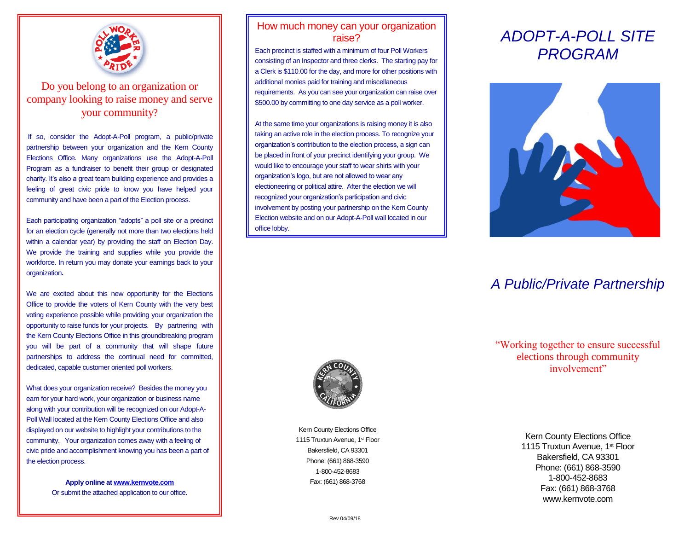

## Do you belong to an organization or company looking to raise money and serve your community?

If so, consider the Adopt-A-Poll program, a public/private partnership between your organization and the Kern County Elections Office. Many organizations use the Adopt-A-Poll Program as a fundraiser to benefit their group or designated charity. It's also a great team building experience and provides a feeling of great civic pride to know you have helped your community and have been a part of the Election process.

Each participating organization "adopts" a poll site or a precinct for an election cycle (generally not more than two elections held within a calendar year) by providing the staff on Election Day. We provide the training and supplies while you provide the workforce. In return you may donate your earnings back to your organization**.**

We are excited about this new opportunity for the Elections Office to provide the voters of Kern County with the very best voting experience possible while providing your organization the opportunity to raise funds for your projects. By partnering with the Kern County Elections Office in this groundbreaking program you will be part of a community that will shape future partnerships to address the continual need for committed, dedicated, capable customer oriented poll workers.

What does your organization receive? Besides the money you earn for your hard work, your organization or business name along with your contribution will be recognized on our Adopt-A-Poll Wall located at the Kern County Elections Office and also displayed on our website to highlight your contributions to the community. Your organization comes away with a feeling of civic pride and accomplishment knowing you has been a part of the election process.

> **Apply online a[t www.kernvote.com](http://www.kernvote.com/)** Or submit the attached application to our office.

### How much money can your organization raise?

Each precinct is staffed with a minimum of four Poll Workers consisting of an Inspector and three clerks. The starting pay for a Clerk is \$110.00 for the day, and more for other positions with additional monies paid for training and miscellaneous requirements. As you can see your organization can raise over \$500.00 by committing to one day service as a poll worker.

At the same time your organizations is raising money it is also taking an active role in the election process. To recognize your organization's contribution to the election process, a sign can be placed in front of your precinct identifying your group. We would like to encourage your staff to wear shirts with your organization's logo, but are not allowed to wear any electioneering or political attire. After the election we will recognized your organization's participation and civic involvement by posting your partnership on the Kern County Election website and on our Adopt-A-Poll wall located in our office lobby.

# *ADOPT-A-POLL SITE PROGRAM*



# *A Public/Private Partnership*



Kern County Elections Office 1115 Truxtun Avenue, 1st Floor Bakersfield, CA 93301 Phone: (661) 868-3590 1-800-452-8683 Fax: (661) 868-3768

"Working together to ensure successful elections through community involvement"

> Kern County Elections Office 1115 Truxtun Avenue, 1<sup>st</sup> Floor Bakersfield, CA 93301 Phone: (661) 868-3590 1-800-452-8683 Fax: (661) 868-3768 www.kernvote.com